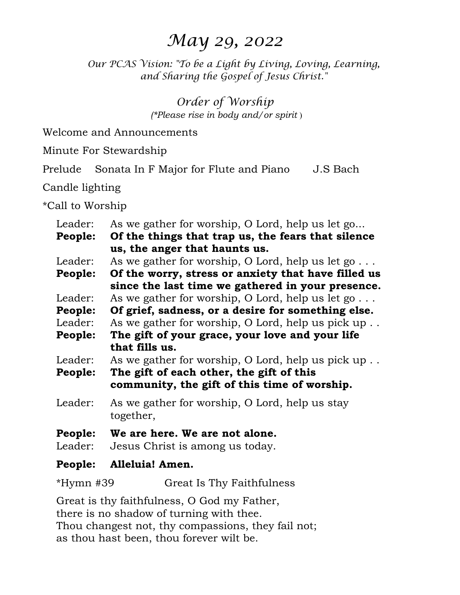# *May 29, 2022*

*Our PCAS Vision: "To be a Light by Living, Loving, Learning, and Sharing the Gospel of Jesus Christ."* 

> *Order of Worship (\*Please rise in body and/or spirit* )

Welcome and Announcements

Minute For Stewardship

Prelude Sonata In F Major for Flute and Piano J.S Bach

Candle lighting

\*Call to Worship

| Leader:   | As we gather for worship, O Lord, help us let go           |
|-----------|------------------------------------------------------------|
| People:   | Of the things that trap us, the fears that silence         |
|           | us, the anger that haunts us.                              |
| Leader:   | As we gather for worship, O Lord, help us let $g_0 \ldots$ |
| People:   | Of the worry, stress or anxiety that have filled us        |
|           | since the last time we gathered in your presence.          |
| Leader:   | As we gather for worship, O Lord, help us let $\alpha$     |
| People:   | Of grief, sadness, or a desire for something else.         |
| Leader:   | As we gather for worship, O Lord, help us pick up          |
| People:   | The gift of your grace, your love and your life            |
|           | that fills us.                                             |
| Leader:   | As we gather for worship, O Lord, help us pick up          |
| People:   | The gift of each other, the gift of this                   |
|           | community, the gift of this time of worship.               |
| Leader:   | As we gather for worship, O Lord, help us stay             |
|           | together,                                                  |
| People:   | We are here. We are not alone.                             |
| Leader:   | Jesus Christ is among us today.                            |
| People:   | <b>Alleluia! Amen.</b>                                     |
| *Hymn #39 | Great Is Thy Faithfulness                                  |

Great is thy faithfulness, O God my Father, there is no shadow of turning with thee. Thou changest not, thy compassions, they fail not; as thou hast been, thou forever wilt be.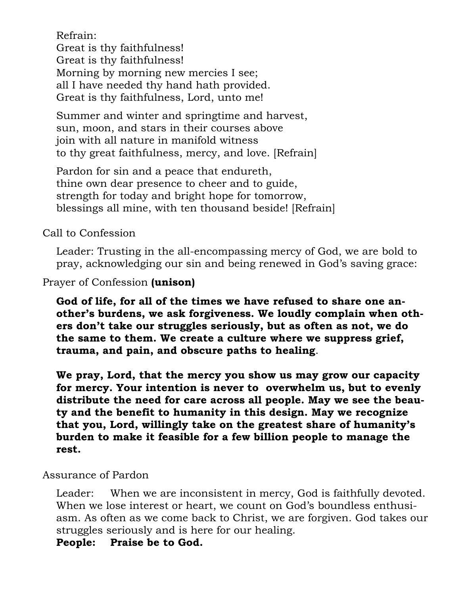Refrain: Great is thy faithfulness! Great is thy faithfulness! Morning by morning new mercies I see; all I have needed thy hand hath provided. Great is thy faithfulness, Lord, unto me!

Summer and winter and springtime and harvest, sun, moon, and stars in their courses above join with all nature in manifold witness to thy great faithfulness, mercy, and love. [Refrain]

Pardon for sin and a peace that endureth, thine own dear presence to cheer and to guide, strength for today and bright hope for tomorrow, blessings all mine, with ten thousand beside! [Refrain]

Call to Confession

Leader: Trusting in the all-encompassing mercy of God, we are bold to pray, acknowledging our sin and being renewed in God's saving grace:

Prayer of Confession **(unison)** 

**God of life, for all of the times we have refused to share one another's burdens, we ask forgiveness. We loudly complain when others don't take our struggles seriously, but as often as not, we do the same to them. We create a culture where we suppress grief, trauma, and pain, and obscure paths to healing**.

**We pray, Lord, that the mercy you show us may grow our capacity for mercy. Your intention is never to overwhelm us, but to evenly distribute the need for care across all people. May we see the beauty and the benefit to humanity in this design. May we recognize that you, Lord, willingly take on the greatest share of humanity's burden to make it feasible for a few billion people to manage the rest.** 

Assurance of Pardon

Leader: When we are inconsistent in mercy, God is faithfully devoted. When we lose interest or heart, we count on God's boundless enthusiasm. As often as we come back to Christ, we are forgiven. God takes our struggles seriously and is here for our healing.

**People: Praise be to God.**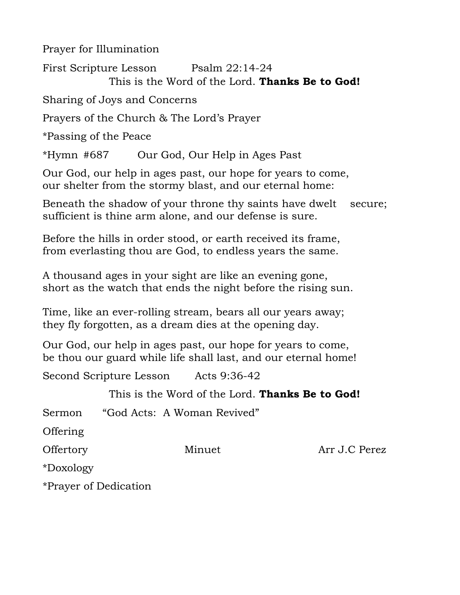Prayer for Illumination

First Scripture Lesson Psalm 22:14-24 This is the Word of the Lord. **Thanks Be to God!** 

Sharing of Joys and Concerns

Prayers of the Church & The Lord's Prayer

\*Passing of the Peace

\*Hymn #687 Our God, Our Help in Ages Past

Our God, our help in ages past, our hope for years to come, our shelter from the stormy blast, and our eternal home:

Beneath the shadow of your throne thy saints have dwelt secure; sufficient is thine arm alone, and our defense is sure.

Before the hills in order stood, or earth received its frame, from everlasting thou are God, to endless years the same.

A thousand ages in your sight are like an evening gone, short as the watch that ends the night before the rising sun.

Time, like an ever-rolling stream, bears all our years away; they fly forgotten, as a dream dies at the opening day.

Our God, our help in ages past, our hope for years to come, be thou our guard while life shall last, and our eternal home!

Second Scripture Lesson Acts 9:36-42

This is the Word of the Lord. **Thanks Be to God!** 

Sermon "God Acts: A Woman Revived"

Offering

Offertory Minuet Arr J.C Perez

\*Doxology

\*Prayer of Dedication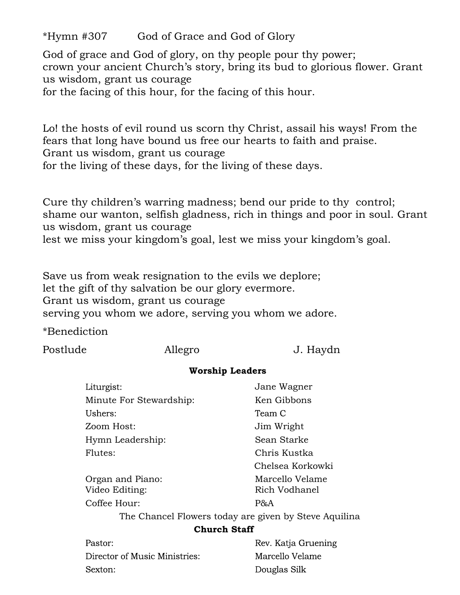\*Hymn #307 God of Grace and God of Glory

God of grace and God of glory, on thy people pour thy power; crown your ancient Church's story, bring its bud to glorious flower. Grant us wisdom, grant us courage for the facing of this hour, for the facing of this hour.

Lo! the hosts of evil round us scorn thy Christ, assail his ways! From the fears that long have bound us free our hearts to faith and praise. Grant us wisdom, grant us courage for the living of these days, for the living of these days.

Cure thy children's warring madness; bend our pride to thy control; shame our wanton, selfish gladness, rich in things and poor in soul. Grant us wisdom, grant us courage

lest we miss your kingdom's goal, lest we miss your kingdom's goal.

Save us from weak resignation to the evils we deplore; let the gift of thy salvation be our glory evermore. Grant us wisdom, grant us courage serving you whom we adore, serving you whom we adore.

\*Benediction

Postlude Allegro J. Haydn

#### **Worship Leaders**

| Liturgist:                         | Jane Wagner                      |
|------------------------------------|----------------------------------|
| Minute For Stewardship:            | Ken Gibbons                      |
| Ushers:                            | Team C                           |
| Zoom Host:                         | Jim Wright                       |
| Hymn Leadership:                   | Sean Starke                      |
| Flutes:                            | Chris Kustka                     |
|                                    | Chelsea Korkowki                 |
| Organ and Piano:<br>Video Editing: | Marcello Velame<br>Rich Vodhanel |
| Coffee Hour:                       | P&A                              |
|                                    |                                  |

The Chancel Flowers today are given by Steve Aquilina

#### **Church Staff**

| Pastor:                       |  |
|-------------------------------|--|
| Director of Music Ministries: |  |
| Sexton:                       |  |

Rev. Katja Gruening Marcello Velame Douglas Silk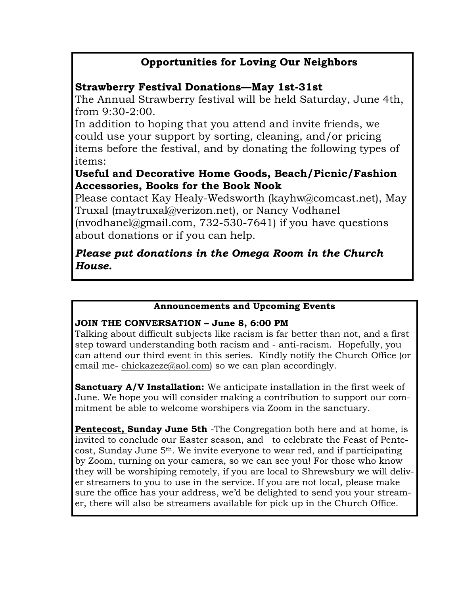## **Opportunities for Loving Our Neighbors**

### **Strawberry Festival Donations—May 1st-31st**

The Annual Strawberry festival will be held Saturday, June 4th, from 9:30-2:00.

In addition to hoping that you attend and invite friends, we could use your support by sorting, cleaning, and/or pricing items before the festival, and by donating the following types of items:

## **Useful and Decorative Home Goods, Beach/Picnic/Fashion Accessories, Books for the Book Nook**

Please contact Kay Healy-Wedsworth (kayhw@comcast.net), May Truxal (maytruxal@verizon.net), or Nancy Vodhanel (nvodhanel@gmail.com,  $732-530-7641$ ) if you have questions about donations or if you can help.

## *Please put donations in the Omega Room in the Church House.*

#### **Announcements and Upcoming Events**

#### **JOIN THE CONVERSATION – June 8, 6:00 PM**

Talking about difficult subjects like racism is far better than not, and a first step toward understanding both racism and - anti-racism. Hopefully, you can attend our third event in this series. Kindly notify the Church Office (or email me-  $\frac{\text{chickazeze}(a)}{\text{aol.com}}$  so we can plan accordingly.

**Sanctuary A/V Installation:** We anticipate installation in the first week of June. We hope you will consider making a contribution to support our commitment be able to welcome worshipers via Zoom in the sanctuary.

**Pentecost, Sunday June 5th** -The Congregation both here and at home, is invited to conclude our Easter season, and to celebrate the Feast of Pentecost, Sunday June 5th. We invite everyone to wear red, and if participating by Zoom, turning on your camera, so we can see you! For those who know they will be worshiping remotely, if you are local to Shrewsbury we will deliver streamers to you to use in the service. If you are not local, please make sure the office has your address, we'd be delighted to send you your streamer, there will also be streamers available for pick up in the Church Office.